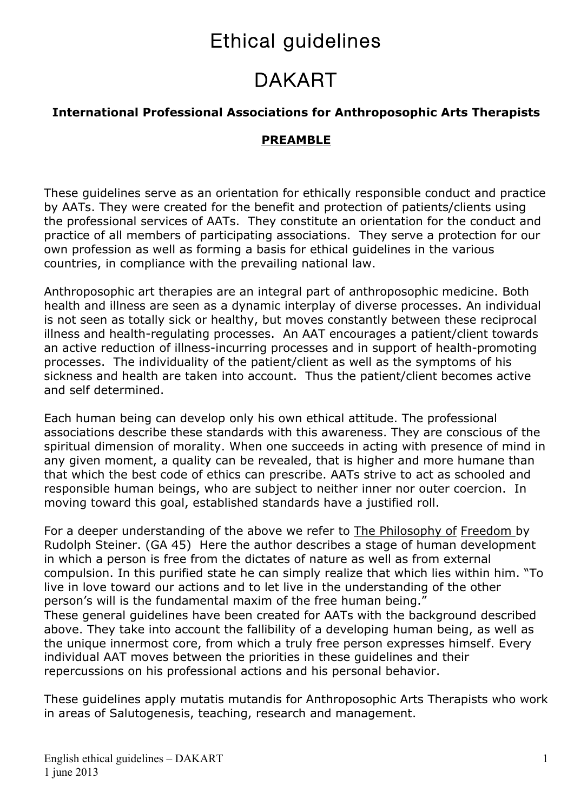# Ethical guidelines

# DAKART

#### **International Professional Associations for Anthroposophic Arts Therapists**

#### **PREAMBLE**

These guidelines serve as an orientation for ethically responsible conduct and practice by AATs. They were created for the benefit and protection of patients/clients using the professional services of AATs. They constitute an orientation for the conduct and practice of all members of participating associations. They serve a protection for our own profession as well as forming a basis for ethical guidelines in the various countries, in compliance with the prevailing national law.

Anthroposophic art therapies are an integral part of anthroposophic medicine. Both health and illness are seen as a dynamic interplay of diverse processes. An individual is not seen as totally sick or healthy, but moves constantly between these reciprocal illness and health-regulating processes. An AAT encourages a patient/client towards an active reduction of illness-incurring processes and in support of health-promoting processes. The individuality of the patient/client as well as the symptoms of his sickness and health are taken into account. Thus the patient/client becomes active and self determined.

Each human being can develop only his own ethical attitude. The professional associations describe these standards with this awareness. They are conscious of the spiritual dimension of morality. When one succeeds in acting with presence of mind in any given moment, a quality can be revealed, that is higher and more humane than that which the best code of ethics can prescribe. AATs strive to act as schooled and responsible human beings, who are subject to neither inner nor outer coercion. In moving toward this goal, established standards have a justified roll.

For a deeper understanding of the above we refer to The Philosophy of Freedom by Rudolph Steiner. (GA 45) Here the author describes a stage of human development in which a person is free from the dictates of nature as well as from external compulsion. In this purified state he can simply realize that which lies within him. "To live in love toward our actions and to let live in the understanding of the other person's will is the fundamental maxim of the free human being." These general guidelines have been created for AATs with the background described above. They take into account the fallibility of a developing human being, as well as the unique innermost core, from which a truly free person expresses himself. Every individual AAT moves between the priorities in these guidelines and their repercussions on his professional actions and his personal behavior.

These guidelines apply mutatis mutandis for Anthroposophic Arts Therapists who work in areas of Salutogenesis, teaching, research and management.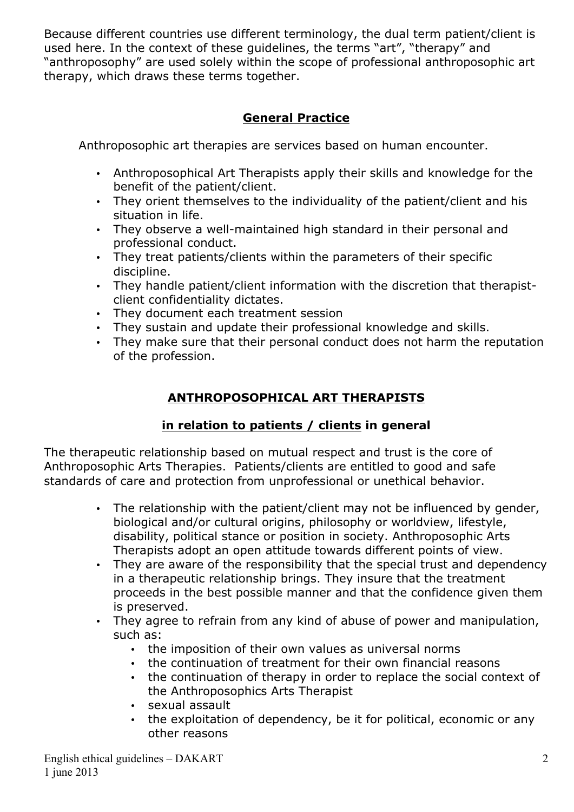Because different countries use different terminology, the dual term patient/client is used here. In the context of these guidelines, the terms "art", "therapy" and "anthroposophy" are used solely within the scope of professional anthroposophic art therapy, which draws these terms together.

### **General Practice**

Anthroposophic art therapies are services based on human encounter.

- Anthroposophical Art Therapists apply their skills and knowledge for the benefit of the patient/client.
- They orient themselves to the individuality of the patient/client and his situation in life.
- They observe a well-maintained high standard in their personal and professional conduct.
- They treat patients/clients within the parameters of their specific discipline.
- They handle patient/client information with the discretion that therapistclient confidentiality dictates.
- They document each treatment session
- They sustain and update their professional knowledge and skills.
- They make sure that their personal conduct does not harm the reputation of the profession.

## **ANTHROPOSOPHICAL ART THERAPISTS**

#### **in relation to patients / clients in general**

The therapeutic relationship based on mutual respect and trust is the core of Anthroposophic Arts Therapies. Patients/clients are entitled to good and safe standards of care and protection from unprofessional or unethical behavior.

- The relationship with the patient/client may not be influenced by gender, biological and/or cultural origins, philosophy or worldview, lifestyle, disability, political stance or position in society. Anthroposophic Arts Therapists adopt an open attitude towards different points of view.
- They are aware of the responsibility that the special trust and dependency in a therapeutic relationship brings. They insure that the treatment proceeds in the best possible manner and that the confidence given them is preserved.
- They agree to refrain from any kind of abuse of power and manipulation, such as:
	- the imposition of their own values as universal norms
	- the continuation of treatment for their own financial reasons
	- the continuation of therapy in order to replace the social context of the Anthroposophics Arts Therapist
	- sexual assault
	- the exploitation of dependency, be it for political, economic or any other reasons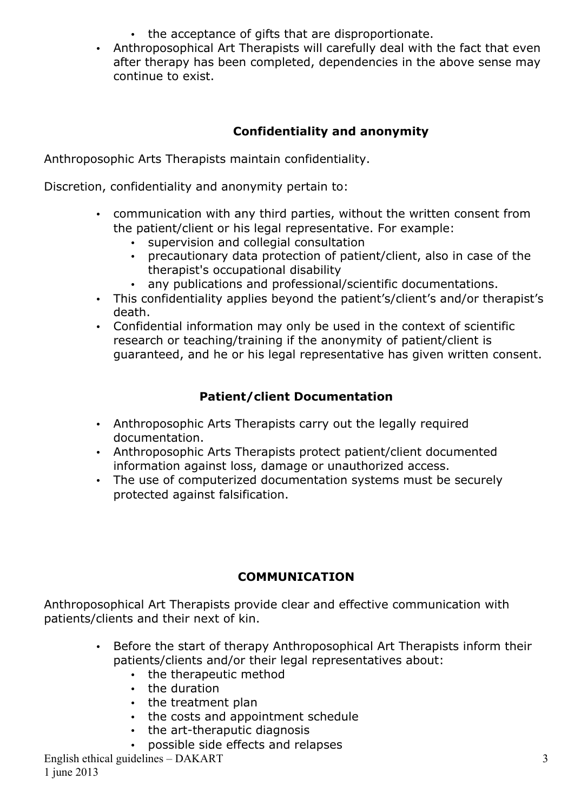- the acceptance of gifts that are disproportionate.
- Anthroposophical Art Therapists will carefully deal with the fact that even after therapy has been completed, dependencies in the above sense may continue to exist.

# **Confidentiality and anonymity**

Anthroposophic Arts Therapists maintain confidentiality.

Discretion, confidentiality and anonymity pertain to:

- communication with any third parties, without the written consent from the patient/client or his legal representative. For example:
	- supervision and collegial consultation
	- precautionary data protection of patient/client, also in case of the therapist's occupational disability
	- any publications and professional/scientific documentations.
- This confidentiality applies beyond the patient's/client's and/or therapist's death.
- Confidential information may only be used in the context of scientific research or teaching/training if the anonymity of patient/client is guaranteed, and he or his legal representative has given written consent.

### **Patient/client Documentation**

- Anthroposophic Arts Therapists carry out the legally required documentation.
- Anthroposophic Arts Therapists protect patient/client documented information against loss, damage or unauthorized access.
- The use of computerized documentation systems must be securely protected against falsification.

## **COMMUNICATION**

Anthroposophical Art Therapists provide clear and effective communication with patients/clients and their next of kin.

- Before the start of therapy Anthroposophical Art Therapists inform their patients/clients and/or their legal representatives about:
	- the therapeutic method
	- the duration
	- the treatment plan
	- the costs and appointment schedule
	- the art-theraputic diagnosis
	- possible side effects and relapses

English ethical guidelines – DAKART 1 june 2013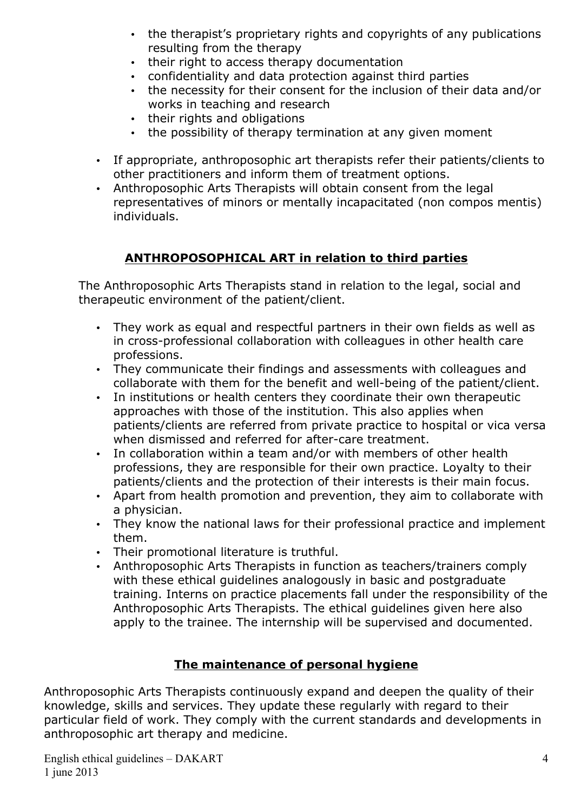- the therapist's proprietary rights and copyrights of any publications resulting from the therapy
- their right to access therapy documentation
- confidentiality and data protection against third parties
- the necessity for their consent for the inclusion of their data and/or works in teaching and research
- their rights and obligations
- the possibility of therapy termination at any given moment
- If appropriate, anthroposophic art therapists refer their patients/clients to other practitioners and inform them of treatment options.
- Anthroposophic Arts Therapists will obtain consent from the legal representatives of minors or mentally incapacitated (non compos mentis) individuals.

### **ANTHROPOSOPHICAL ART in relation to third parties**

The Anthroposophic Arts Therapists stand in relation to the legal, social and therapeutic environment of the patient/client.

- They work as equal and respectful partners in their own fields as well as in cross-professional collaboration with colleagues in other health care professions.
- They communicate their findings and assessments with colleagues and collaborate with them for the benefit and well-being of the patient/client.
- In institutions or health centers they coordinate their own therapeutic approaches with those of the institution. This also applies when patients/clients are referred from private practice to hospital or vica versa when dismissed and referred for after-care treatment.
- In collaboration within a team and/or with members of other health professions, they are responsible for their own practice. Loyalty to their patients/clients and the protection of their interests is their main focus.
- Apart from health promotion and prevention, they aim to collaborate with a physician.
- They know the national laws for their professional practice and implement them.
- Their promotional literature is truthful.
- Anthroposophic Arts Therapists in function as teachers/trainers comply with these ethical guidelines analogously in basic and postgraduate training. Interns on practice placements fall under the responsibility of the Anthroposophic Arts Therapists. The ethical guidelines given here also apply to the trainee. The internship will be supervised and documented.

#### **The maintenance of personal hygiene**

Anthroposophic Arts Therapists continuously expand and deepen the quality of their knowledge, skills and services. They update these regularly with regard to their particular field of work. They comply with the current standards and developments in anthroposophic art therapy and medicine.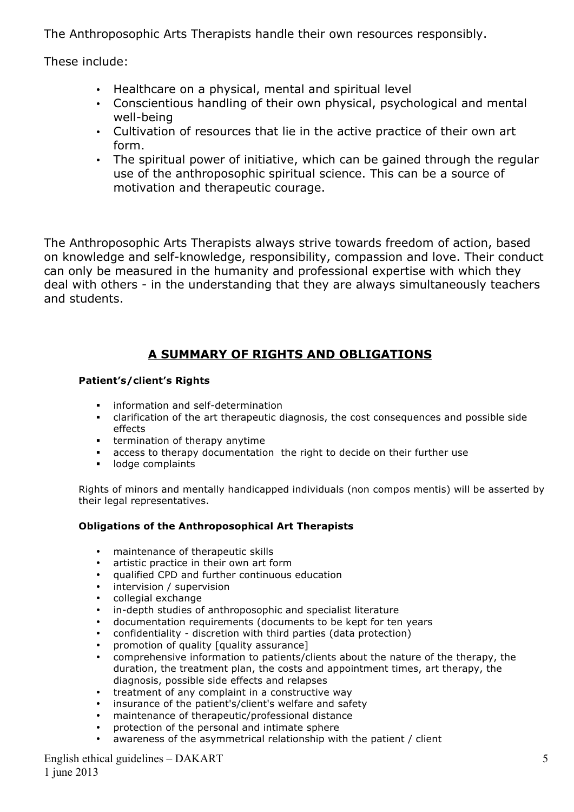The Anthroposophic Arts Therapists handle their own resources responsibly.

These include:

- Healthcare on a physical, mental and spiritual level
- Conscientious handling of their own physical, psychological and mental well-being
- Cultivation of resources that lie in the active practice of their own art form.
- The spiritual power of initiative, which can be gained through the regular use of the anthroposophic spiritual science. This can be a source of motivation and therapeutic courage.

The Anthroposophic Arts Therapists always strive towards freedom of action, based on knowledge and self-knowledge, responsibility, compassion and love. Their conduct can only be measured in the humanity and professional expertise with which they deal with others - in the understanding that they are always simultaneously teachers and students.

#### **A SUMMARY OF RIGHTS AND OBLIGATIONS**

#### **Patient's/client's Rights**

- information and self-determination
- ! clarification of the art therapeutic diagnosis, the cost consequences and possible side effects
- ! termination of therapy anytime
- ! access to therapy documentation the right to decide on their further use
- ! lodge complaints

Rights of minors and mentally handicapped individuals (non compos mentis) will be asserted by their legal representatives.

#### **Obligations of the Anthroposophical Art Therapists**

- maintenance of therapeutic skills
- artistic practice in their own art form
- qualified CPD and further continuous education
- intervision / supervision
- collegial exchange
- in-depth studies of anthroposophic and specialist literature
- documentation requirements (documents to be kept for ten years
- confidentiality discretion with third parties (data protection)
- promotion of quality [quality assurance]
- comprehensive information to patients/clients about the nature of the therapy, the duration, the treatment plan, the costs and appointment times, art therapy, the diagnosis, possible side effects and relapses
- treatment of any complaint in a constructive way
- insurance of the patient's/client's welfare and safety
- maintenance of therapeutic/professional distance
- protection of the personal and intimate sphere
- awareness of the asymmetrical relationship with the patient / client